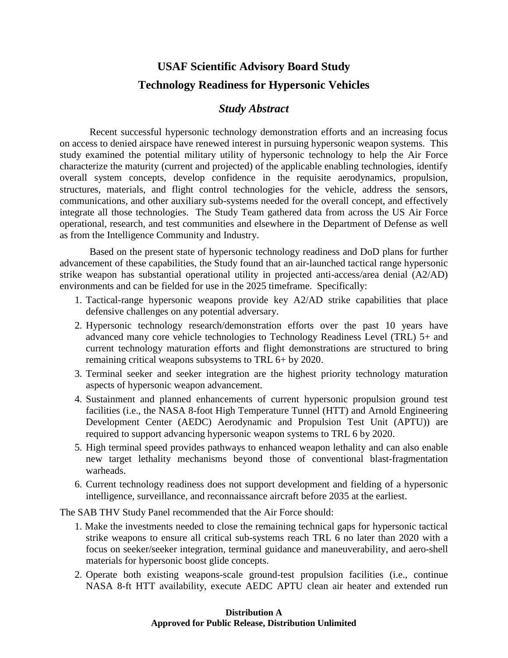## **USAF Scientific Advisory Board Study Technology Readiness for Hypersonic Vehicles**

## *Study Abstract*

Recent successful hypersonic technology demonstration efforts and an increasing focus on access to denied airspace have renewed interest in pursuing hypersonic weapon systems. This study examined the potential military utility of hypersonic technology to help the Air Force characterize the maturity (current and projected) of the applicable enabling technologies, identify overall system concepts, develop confidence in the requisite aerodynamics, propulsion, structures, materials, and flight control technologies for the vehicle, address the sensors, communications, and other auxiliary sub-systems needed for the overall concept, and effectively integrate all those technologies. The Study Team gathered data from across the US Air Force operational, research, and test communities and elsewhere in the Department of Defense as well as from the Intelligence Community and Industry.

Based on the present state of hypersonic technology readiness and DoD plans for further advancement of these capabilities, the Study found that an air-launched tactical range hypersonic strike weapon has substantial operational utility in projected anti-access/area denial (A2/AD) environments and can be fielded for use in the 2025 timeframe. Specifically:

- 1. Tactical-range hypersonic weapons provide key A2/AD strike capabilities that place defensive challenges on any potential adversary.
- 2. Hypersonic technology research/demonstration efforts over the past 10 years have advanced many core vehicle technologies to Technology Readiness Level (TRL) 5+ and current technology maturation efforts and flight demonstrations are structured to bring remaining critical weapons subsystems to TRL 6+ by 2020.
- 3. Terminal seeker and seeker integration are the highest priority technology maturation aspects of hypersonic weapon advancement.
- 4. Sustainment and planned enhancements of current hypersonic propulsion ground test facilities (i.e., the NASA 8-foot High Temperature Tunnel (HTT) and Arnold Engineering Development Center (AEDC) Aerodynamic and Propulsion Test Unit (APTU)) are required to support advancing hypersonic weapon systems to TRL 6 by 2020.
- 5. High terminal speed provides pathways to enhanced weapon lethality and can also enable new target lethality mechanisms beyond those of conventional blast-fragmentation warheads.
- 6. Current technology readiness does not support development and fielding of a hypersonic intelligence, surveillance, and reconnaissance aircraft before 2035 at the earliest.

The SAB THV Study Panel recommended that the Air Force should:

- 1. Make the investments needed to close the remaining technical gaps for hypersonic tactical strike weapons to ensure all critical sub-systems reach TRL 6 no later than 2020 with a focus on seeker/seeker integration, terminal guidance and maneuverability, and aero-shell materials for hypersonic boost glide concepts.
- 2. Operate both existing weapons-scale ground-test propulsion facilities (i.e., continue NASA 8-ft HTT availability, execute AEDC APTU clean air heater and extended run